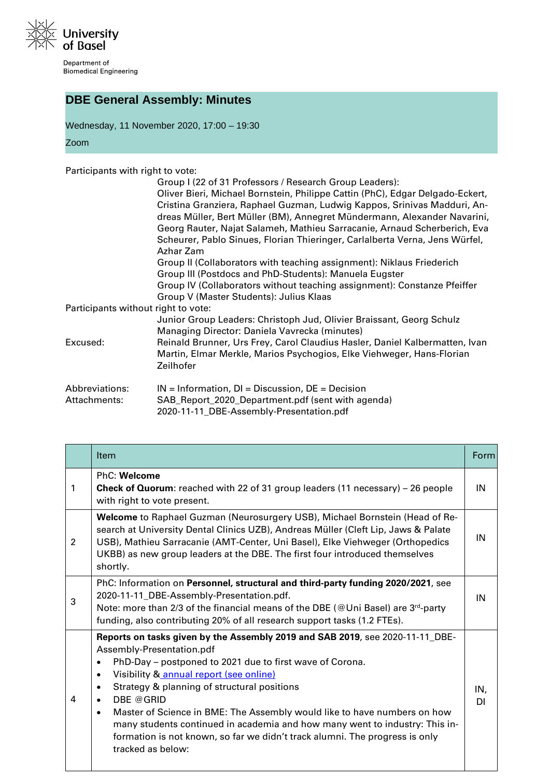

Department of Biomedical Engineering

## **DBE General Assembly: Minutes**

Wednesday, 11 November 2020, 17:00 – 19:30

Zoom

Participants with right to vote:

|                                     | Group I (22 of 31 Professors / Research Group Leaders):                                                               |
|-------------------------------------|-----------------------------------------------------------------------------------------------------------------------|
|                                     | Oliver Bieri, Michael Bornstein, Philippe Cattin (PhC), Edgar Delgado-Eckert,                                         |
|                                     | Cristina Granziera, Raphael Guzman, Ludwig Kappos, Srinivas Madduri, An-                                              |
|                                     | dreas Müller, Bert Müller (BM), Annegret Mündermann, Alexander Navarini,                                              |
|                                     | Georg Rauter, Najat Salameh, Mathieu Sarracanie, Arnaud Scherberich, Eva                                              |
|                                     | Scheurer, Pablo Sinues, Florian Thieringer, Carlalberta Verna, Jens Würfel,<br>Azhar Zam                              |
|                                     | Group II (Collaborators with teaching assignment): Niklaus Friederich                                                 |
|                                     | Group III (Postdocs and PhD-Students): Manuela Eugster                                                                |
|                                     | Group IV (Collaborators without teaching assignment): Constanze Pfeiffer                                              |
|                                     | Group V (Master Students): Julius Klaas                                                                               |
| Participants without right to vote: |                                                                                                                       |
|                                     | Junior Group Leaders: Christoph Jud, Olivier Braissant, Georg Schulz<br>Managing Director: Daniela Vavrecka (minutes) |
| Excused:                            | Reinald Brunner, Urs Frey, Carol Claudius Hasler, Daniel Kalbermatten, Ivan                                           |
|                                     | Martin, Elmar Merkle, Marios Psychogios, Elke Viehweger, Hans-Florian                                                 |
|                                     | Zeilhofer                                                                                                             |
| Abbreviations:                      | $IN = Information, DI = Discussion, DE = Decision$                                                                    |
| Attachments:                        | SAB_Report_2020_Department.pdf (sent with agenda)                                                                     |
|                                     | 2020-11-11_DBE-Assembly-Presentation.pdf                                                                              |

|                | Item                                                                                                                                                                                                                                                                                                                                                                                                                                                                                                                                                                                             | Form      |
|----------------|--------------------------------------------------------------------------------------------------------------------------------------------------------------------------------------------------------------------------------------------------------------------------------------------------------------------------------------------------------------------------------------------------------------------------------------------------------------------------------------------------------------------------------------------------------------------------------------------------|-----------|
| 1              | <b>PhC: Welcome</b><br><b>Check of Quorum:</b> reached with 22 of 31 group leaders (11 necessary) - 26 people<br>with right to vote present.                                                                                                                                                                                                                                                                                                                                                                                                                                                     | IN        |
| $\overline{2}$ | Welcome to Raphael Guzman (Neurosurgery USB), Michael Bornstein (Head of Re-<br>search at University Dental Clinics UZB), Andreas Müller (Cleft Lip, Jaws & Palate<br>USB), Mathieu Sarracanie (AMT-Center, Uni Basel), Elke Viehweger (Orthopedics<br>UKBB) as new group leaders at the DBE. The first four introduced themselves<br>shortly.                                                                                                                                                                                                                                                   | IN        |
| 3              | PhC: Information on Personnel, structural and third-party funding 2020/2021, see<br>2020-11-11_DBE-Assembly-Presentation.pdf.<br>Note: more than 2/3 of the financial means of the DBE (@Uni Basel) are $3^{rd}$ -party<br>funding, also contributing 20% of all research support tasks (1.2 FTEs).                                                                                                                                                                                                                                                                                              | IN        |
| 4              | Reports on tasks given by the Assembly 2019 and SAB 2019, see 2020-11-11_DBE-<br>Assembly-Presentation.pdf<br>PhD-Day – postponed to 2021 due to first wave of Corona.<br>$\bullet$<br>Visibility & annual report (see online)<br>$\bullet$<br>Strategy & planning of structural positions<br>$\bullet$<br>DBE @GRID<br>Master of Science in BME: The Assembly would like to have numbers on how<br>$\bullet$<br>many students continued in academia and how many went to industry: This in-<br>formation is not known, so far we didn't track alumni. The progress is only<br>tracked as below: | IN,<br>DI |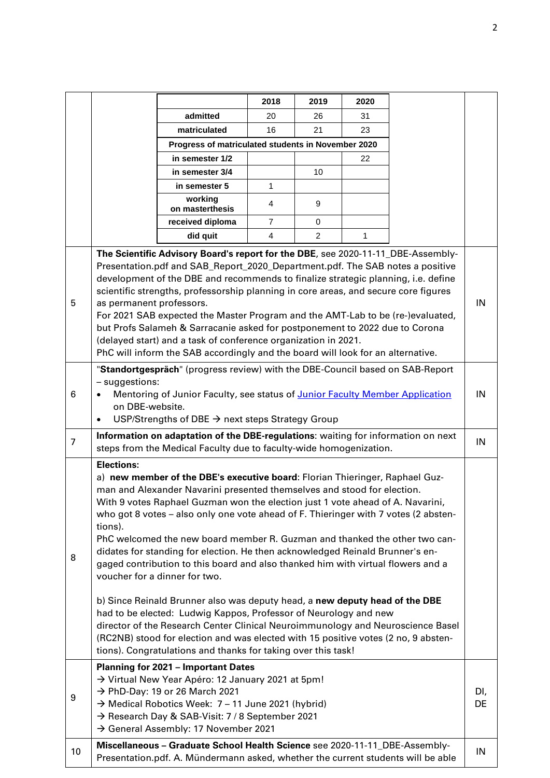|                |                                                                                                                   |                                                                                                                                                         | 2018           | 2019           | 2020         |  |     |
|----------------|-------------------------------------------------------------------------------------------------------------------|---------------------------------------------------------------------------------------------------------------------------------------------------------|----------------|----------------|--------------|--|-----|
|                |                                                                                                                   | admitted                                                                                                                                                | 20             | 26             | 31           |  |     |
|                |                                                                                                                   | matriculated                                                                                                                                            | 16             | 21             | 23           |  |     |
|                |                                                                                                                   | Progress of matriculated students in November 2020                                                                                                      |                |                |              |  |     |
|                |                                                                                                                   | in semester 1/2                                                                                                                                         |                |                | 22           |  |     |
|                |                                                                                                                   | in semester 3/4                                                                                                                                         |                | 10             |              |  |     |
|                |                                                                                                                   | in semester 5                                                                                                                                           | $\mathbf{1}$   |                |              |  |     |
|                |                                                                                                                   | working<br>on masterthesis                                                                                                                              | 4              | 9              |              |  |     |
|                |                                                                                                                   | received diploma                                                                                                                                        | $\overline{7}$ | $\mathbf 0$    |              |  |     |
|                |                                                                                                                   | did quit                                                                                                                                                | $\overline{4}$ | $\overline{c}$ | $\mathbf{1}$ |  |     |
|                |                                                                                                                   | The Scientific Advisory Board's report for the DBE, see 2020-11-11_DBE-Assembly-                                                                        |                |                |              |  |     |
|                |                                                                                                                   | Presentation.pdf and SAB_Report_2020_Department.pdf. The SAB notes a positive                                                                           |                |                |              |  |     |
|                |                                                                                                                   | development of the DBE and recommends to finalize strategic planning, i.e. define                                                                       |                |                |              |  |     |
|                |                                                                                                                   | scientific strengths, professorship planning in core areas, and secure core figures                                                                     |                |                |              |  |     |
| 5              | as permanent professors.                                                                                          |                                                                                                                                                         |                |                |              |  | IN  |
|                |                                                                                                                   | For 2021 SAB expected the Master Program and the AMT-Lab to be (re-)evaluated,                                                                          |                |                |              |  |     |
|                |                                                                                                                   | but Profs Salameh & Sarracanie asked for postponement to 2022 due to Corona                                                                             |                |                |              |  |     |
|                |                                                                                                                   | (delayed start) and a task of conference organization in 2021.                                                                                          |                |                |              |  |     |
|                |                                                                                                                   | PhC will inform the SAB accordingly and the board will look for an alternative.                                                                         |                |                |              |  |     |
|                |                                                                                                                   | "Standortgespräch" (progress review) with the DBE-Council based on SAB-Report                                                                           |                |                |              |  |     |
|                | - suggestions:                                                                                                    |                                                                                                                                                         |                |                |              |  |     |
| 6              | $\bullet$                                                                                                         | Mentoring of Junior Faculty, see status of Junior Faculty Member Application                                                                            |                |                |              |  | IN  |
|                | on DBE-website.                                                                                                   |                                                                                                                                                         |                |                |              |  |     |
|                |                                                                                                                   | USP/Strengths of DBE $\rightarrow$ next steps Strategy Group                                                                                            |                |                |              |  |     |
| $\overline{7}$ |                                                                                                                   | Information on adaptation of the DBE-regulations: waiting for information on next<br>steps from the Medical Faculty due to faculty-wide homogenization. |                |                |              |  | IN  |
|                | <b>Elections:</b>                                                                                                 |                                                                                                                                                         |                |                |              |  |     |
|                | a) new member of the DBE's executive board: Florian Thieringer, Raphael Guz-                                      |                                                                                                                                                         |                |                |              |  |     |
|                |                                                                                                                   | man and Alexander Navarini presented themselves and stood for election.                                                                                 |                |                |              |  |     |
|                |                                                                                                                   | With 9 votes Raphael Guzman won the election just 1 vote ahead of A. Navarini,                                                                          |                |                |              |  |     |
|                |                                                                                                                   | who got 8 votes - also only one vote ahead of F. Thieringer with 7 votes (2 absten-                                                                     |                |                |              |  |     |
|                | tions).                                                                                                           |                                                                                                                                                         |                |                |              |  |     |
|                |                                                                                                                   | PhC welcomed the new board member R. Guzman and thanked the other two can-                                                                              |                |                |              |  |     |
| 8              |                                                                                                                   | didates for standing for election. He then acknowledged Reinald Brunner's en-                                                                           |                |                |              |  |     |
|                | gaged contribution to this board and also thanked him with virtual flowers and a<br>voucher for a dinner for two. |                                                                                                                                                         |                |                |              |  |     |
|                |                                                                                                                   |                                                                                                                                                         |                |                |              |  |     |
|                | b) Since Reinald Brunner also was deputy head, a new deputy head of the DBE                                       |                                                                                                                                                         |                |                |              |  |     |
|                |                                                                                                                   | had to be elected: Ludwig Kappos, Professor of Neurology and new                                                                                        |                |                |              |  |     |
|                |                                                                                                                   | director of the Research Center Clinical Neuroimmunology and Neuroscience Basel                                                                         |                |                |              |  |     |
|                |                                                                                                                   | (RC2NB) stood for election and was elected with 15 positive votes (2 no, 9 absten-                                                                      |                |                |              |  |     |
|                |                                                                                                                   | tions). Congratulations and thanks for taking over this task!                                                                                           |                |                |              |  |     |
|                |                                                                                                                   | <b>Planning for 2021 - Important Dates</b>                                                                                                              |                |                |              |  |     |
|                |                                                                                                                   | → Virtual New Year Apéro: 12 January 2021 at 5pm!                                                                                                       |                |                |              |  |     |
| 9              |                                                                                                                   | $\rightarrow$ PhD-Day: 19 or 26 March 2021                                                                                                              |                |                |              |  | DI, |
|                |                                                                                                                   | → Medical Robotics Week: 7 – 11 June 2021 (hybrid)                                                                                                      |                |                |              |  | DE  |
|                |                                                                                                                   | → Research Day & SAB-Visit: 7 / 8 September 2021                                                                                                        |                |                |              |  |     |
|                | → General Assembly: 17 November 2021                                                                              |                                                                                                                                                         |                |                |              |  |     |
| 10             |                                                                                                                   | Miscellaneous - Graduate School Health Science see 2020-11-11_DBE-Assembly-                                                                             |                |                |              |  | IN  |
|                |                                                                                                                   | Presentation.pdf. A. Mündermann asked, whether the current students will be able                                                                        |                |                |              |  |     |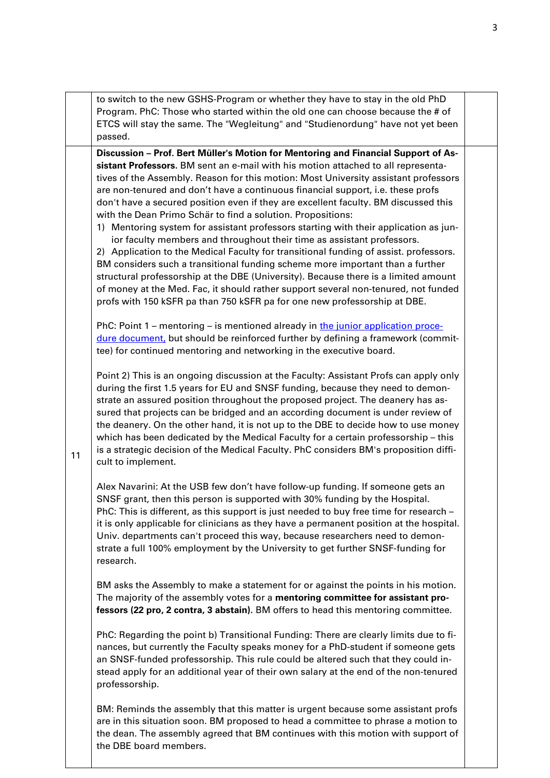|    | to switch to the new GSHS-Program or whether they have to stay in the old PhD<br>Program. PhC: Those who started within the old one can choose because the # of<br>ETCS will stay the same. The "Wegleitung" and "Studienordung" have not yet been<br>passed.                                                                                                                                                                                                                                                                                                                                                                                                                                                                                                                                                                                                                                                                                                                                                                                                                                                 |  |
|----|---------------------------------------------------------------------------------------------------------------------------------------------------------------------------------------------------------------------------------------------------------------------------------------------------------------------------------------------------------------------------------------------------------------------------------------------------------------------------------------------------------------------------------------------------------------------------------------------------------------------------------------------------------------------------------------------------------------------------------------------------------------------------------------------------------------------------------------------------------------------------------------------------------------------------------------------------------------------------------------------------------------------------------------------------------------------------------------------------------------|--|
| 11 | Discussion - Prof. Bert Müller's Motion for Mentoring and Financial Support of As-<br>sistant Professors. BM sent an e-mail with his motion attached to all representa-<br>tives of the Assembly. Reason for this motion: Most University assistant professors<br>are non-tenured and don't have a continuous financial support, i.e. these profs<br>don't have a secured position even if they are excellent faculty. BM discussed this<br>with the Dean Primo Schär to find a solution. Propositions:<br>1) Mentoring system for assistant professors starting with their application as jun-<br>ior faculty members and throughout their time as assistant professors.<br>2) Application to the Medical Faculty for transitional funding of assist. professors.<br>BM considers such a transitional funding scheme more important than a further<br>structural professorship at the DBE (University). Because there is a limited amount<br>of money at the Med. Fac, it should rather support several non-tenured, not funded<br>profs with 150 kSFR pa than 750 kSFR pa for one new professorship at DBE. |  |
|    | PhC: Point 1 – mentoring – is mentioned already in the junior application proce-<br>dure document, but should be reinforced further by defining a framework (commit-<br>tee) for continued mentoring and networking in the executive board.                                                                                                                                                                                                                                                                                                                                                                                                                                                                                                                                                                                                                                                                                                                                                                                                                                                                   |  |
|    | Point 2) This is an ongoing discussion at the Faculty: Assistant Profs can apply only<br>during the first 1.5 years for EU and SNSF funding, because they need to demon-<br>strate an assured position throughout the proposed project. The deanery has as-<br>sured that projects can be bridged and an according document is under review of<br>the deanery. On the other hand, it is not up to the DBE to decide how to use money<br>which has been dedicated by the Medical Faculty for a certain professorship - this<br>is a strategic decision of the Medical Faculty. PhC considers BM's proposition diffi-<br>cult to implement.                                                                                                                                                                                                                                                                                                                                                                                                                                                                     |  |
|    | Alex Navarini: At the USB few don't have follow-up funding. If someone gets an<br>SNSF grant, then this person is supported with 30% funding by the Hospital.<br>PhC: This is different, as this support is just needed to buy free time for research –<br>it is only applicable for clinicians as they have a permanent position at the hospital.<br>Univ. departments can't proceed this way, because researchers need to demon-<br>strate a full 100% employment by the University to get further SNSF-funding for<br>research.                                                                                                                                                                                                                                                                                                                                                                                                                                                                                                                                                                            |  |
|    | BM asks the Assembly to make a statement for or against the points in his motion.<br>The majority of the assembly votes for a mentoring committee for assistant pro-<br>fessors (22 pro, 2 contra, 3 abstain). BM offers to head this mentoring committee.                                                                                                                                                                                                                                                                                                                                                                                                                                                                                                                                                                                                                                                                                                                                                                                                                                                    |  |
|    | PhC: Regarding the point b) Transitional Funding: There are clearly limits due to fi-<br>nances, but currently the Faculty speaks money for a PhD-student if someone gets<br>an SNSF-funded professorship. This rule could be altered such that they could in-<br>stead apply for an additional year of their own salary at the end of the non-tenured<br>professorship.                                                                                                                                                                                                                                                                                                                                                                                                                                                                                                                                                                                                                                                                                                                                      |  |
|    | BM: Reminds the assembly that this matter is urgent because some assistant profs<br>are in this situation soon. BM proposed to head a committee to phrase a motion to<br>the dean. The assembly agreed that BM continues with this motion with support of<br>the DBE board members.                                                                                                                                                                                                                                                                                                                                                                                                                                                                                                                                                                                                                                                                                                                                                                                                                           |  |